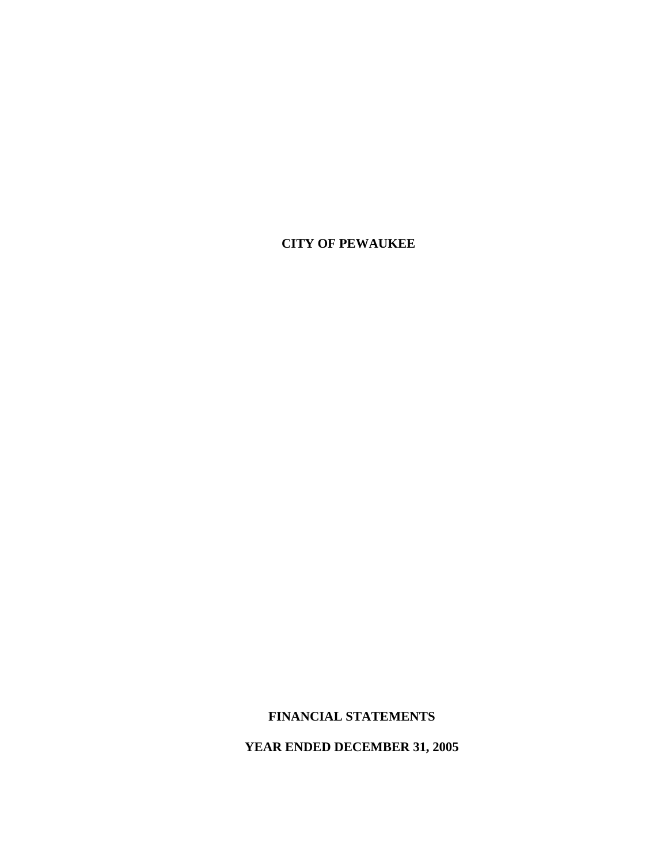## **CITY OF PEWAUKEE**

# **FINANCIAL STATEMENTS**

 **YEAR ENDED DECEMBER 31, 2005**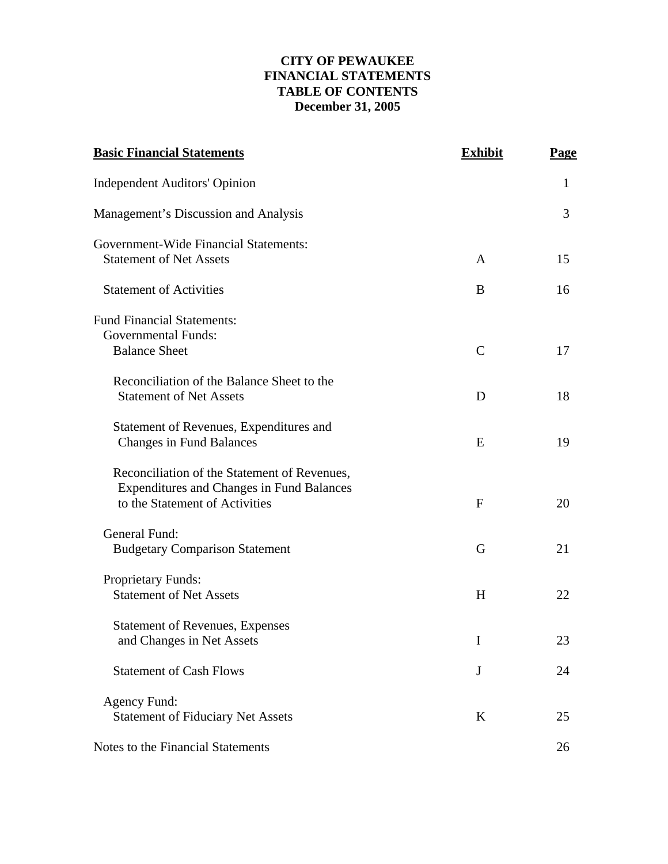## **CITY OF PEWAUKEE FINANCIAL STATEMENTS TABLE OF CONTENTS December 31, 2005**

| <b>Basic Financial Statements</b>                                                                                                  | <b>Exhibit</b> | <b>Page</b> |
|------------------------------------------------------------------------------------------------------------------------------------|----------------|-------------|
| <b>Independent Auditors' Opinion</b>                                                                                               |                | 1           |
| Management's Discussion and Analysis                                                                                               |                | 3           |
| Government-Wide Financial Statements:<br><b>Statement of Net Assets</b>                                                            | A              | 15          |
| <b>Statement of Activities</b>                                                                                                     | B              | 16          |
| <b>Fund Financial Statements:</b><br><b>Governmental Funds:</b><br><b>Balance Sheet</b>                                            | $\mathsf{C}$   | 17          |
| Reconciliation of the Balance Sheet to the<br><b>Statement of Net Assets</b>                                                       | D              | 18          |
| Statement of Revenues, Expenditures and<br><b>Changes in Fund Balances</b>                                                         | E              | 19          |
| Reconciliation of the Statement of Revenues,<br><b>Expenditures and Changes in Fund Balances</b><br>to the Statement of Activities | $\mathbf{F}$   | 20          |
| General Fund:<br><b>Budgetary Comparison Statement</b>                                                                             | G              | 21          |
| <b>Proprietary Funds:</b><br><b>Statement of Net Assets</b>                                                                        | H              | 22          |
| <b>Statement of Revenues, Expenses</b><br>and Changes in Net Assets                                                                | I              | 23          |
| <b>Statement of Cash Flows</b>                                                                                                     | J              | 24          |
| Agency Fund:<br><b>Statement of Fiduciary Net Assets</b>                                                                           | K              | 25          |
| Notes to the Financial Statements                                                                                                  |                | 26          |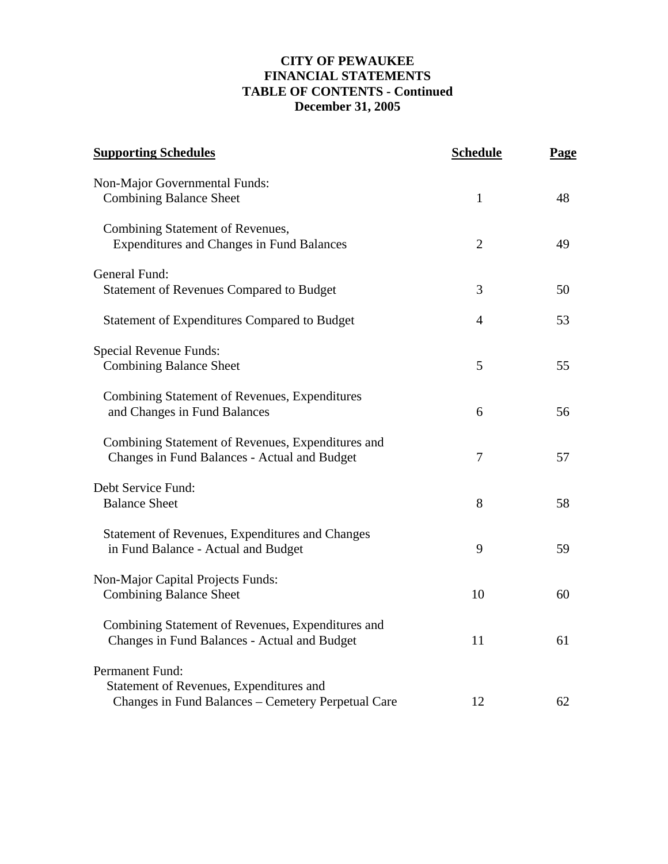## **CITY OF PEWAUKEE FINANCIAL STATEMENTS TABLE OF CONTENTS - Continued December 31, 2005**

| <b>Supporting Schedules</b>                                                                                      | <b>Schedule</b> | <b>Page</b> |
|------------------------------------------------------------------------------------------------------------------|-----------------|-------------|
| Non-Major Governmental Funds:<br><b>Combining Balance Sheet</b>                                                  | $\mathbf{1}$    | 48          |
| Combining Statement of Revenues,<br><b>Expenditures and Changes in Fund Balances</b>                             | 2               | 49          |
| General Fund:<br><b>Statement of Revenues Compared to Budget</b>                                                 | 3               | 50          |
| <b>Statement of Expenditures Compared to Budget</b>                                                              | 4               | 53          |
| Special Revenue Funds:<br><b>Combining Balance Sheet</b>                                                         | 5               | 55          |
| Combining Statement of Revenues, Expenditures<br>and Changes in Fund Balances                                    | 6               | 56          |
| Combining Statement of Revenues, Expenditures and<br>Changes in Fund Balances - Actual and Budget                | 7               | 57          |
| Debt Service Fund:<br><b>Balance Sheet</b>                                                                       | 8               | 58          |
| Statement of Revenues, Expenditures and Changes<br>in Fund Balance - Actual and Budget                           | 9               | 59          |
| Non-Major Capital Projects Funds:<br><b>Combining Balance Sheet</b>                                              | 10              | 60          |
| Combining Statement of Revenues, Expenditures and<br>Changes in Fund Balances - Actual and Budget                | 11              | 61          |
| Permanent Fund:<br>Statement of Revenues, Expenditures and<br>Changes in Fund Balances – Cemetery Perpetual Care | 12              | 62          |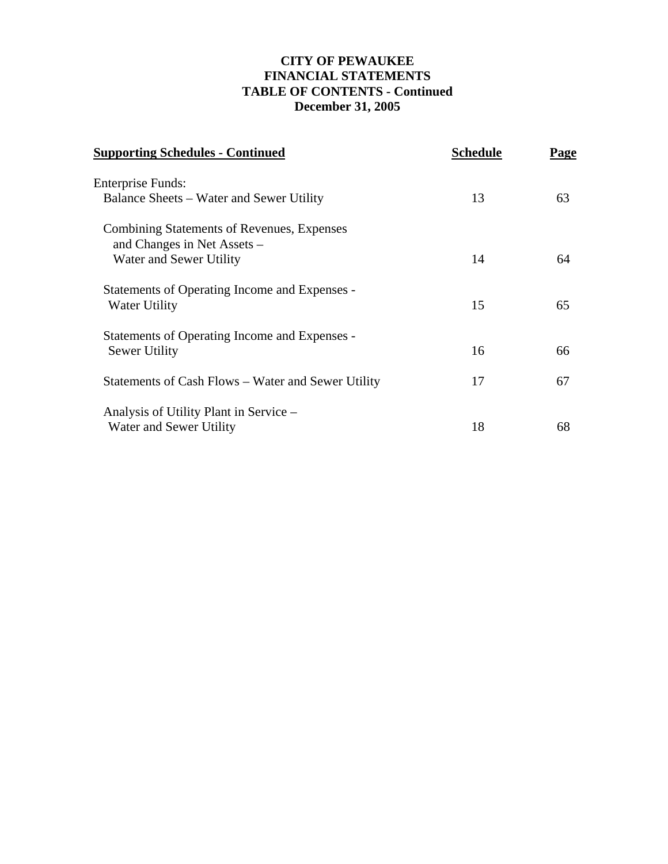## **CITY OF PEWAUKEE FINANCIAL STATEMENTS TABLE OF CONTENTS - Continued December 31, 2005**

| <b>Supporting Schedules - Continued</b>                                   | <b>Schedule</b> | Page |
|---------------------------------------------------------------------------|-----------------|------|
| <b>Enterprise Funds:</b>                                                  |                 |      |
| Balance Sheets – Water and Sewer Utility                                  | 13              | 63   |
| Combining Statements of Revenues, Expenses<br>and Changes in Net Assets – |                 |      |
| Water and Sewer Utility                                                   | 14              | 64   |
| Statements of Operating Income and Expenses -<br>Water Utility            | 15              | 65   |
| Statements of Operating Income and Expenses -<br>Sewer Utility            | 16              | 66   |
| Statements of Cash Flows – Water and Sewer Utility                        | 17              | 67   |
| Analysis of Utility Plant in Service –<br>Water and Sewer Utility         | 18              | 68   |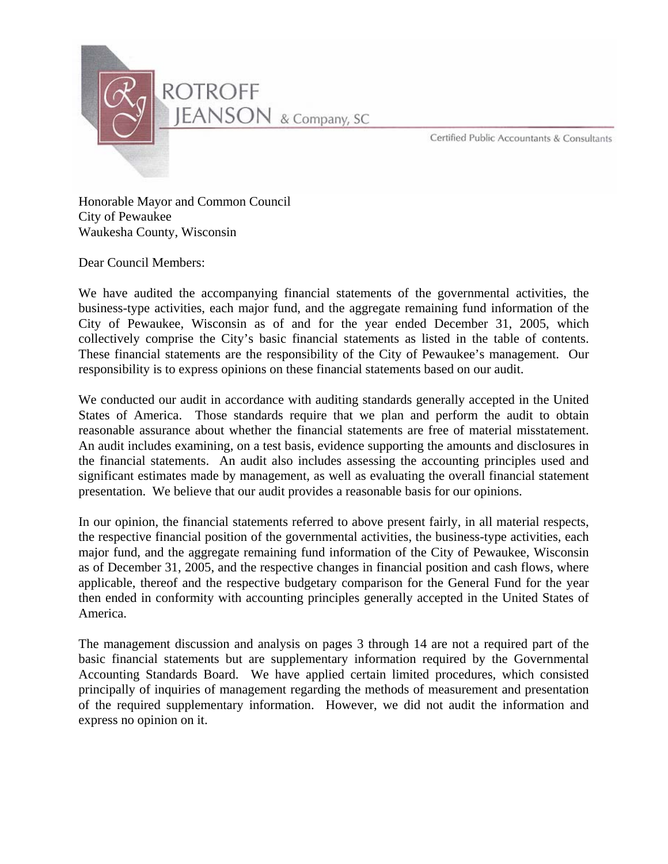

Certified Public Accountants & Consultants

Honorable Mayor and Common Council City of Pewaukee Waukesha County, Wisconsin

Dear Council Members:

We have audited the accompanying financial statements of the governmental activities, the business-type activities, each major fund, and the aggregate remaining fund information of the City of Pewaukee, Wisconsin as of and for the year ended December 31, 2005, which collectively comprise the City's basic financial statements as listed in the table of contents. These financial statements are the responsibility of the City of Pewaukee's management. Our responsibility is to express opinions on these financial statements based on our audit.

We conducted our audit in accordance with auditing standards generally accepted in the United States of America. Those standards require that we plan and perform the audit to obtain reasonable assurance about whether the financial statements are free of material misstatement. An audit includes examining, on a test basis, evidence supporting the amounts and disclosures in the financial statements. An audit also includes assessing the accounting principles used and significant estimates made by management, as well as evaluating the overall financial statement presentation. We believe that our audit provides a reasonable basis for our opinions.

In our opinion, the financial statements referred to above present fairly, in all material respects, the respective financial position of the governmental activities, the business-type activities, each major fund, and the aggregate remaining fund information of the City of Pewaukee, Wisconsin as of December 31, 2005, and the respective changes in financial position and cash flows, where applicable, thereof and the respective budgetary comparison for the General Fund for the year then ended in conformity with accounting principles generally accepted in the United States of America.

The management discussion and analysis on pages 3 through 14 are not a required part of the basic financial statements but are supplementary information required by the Governmental Accounting Standards Board. We have applied certain limited procedures, which consisted principally of inquiries of management regarding the methods of measurement and presentation of the required supplementary information. However, we did not audit the information and express no opinion on it.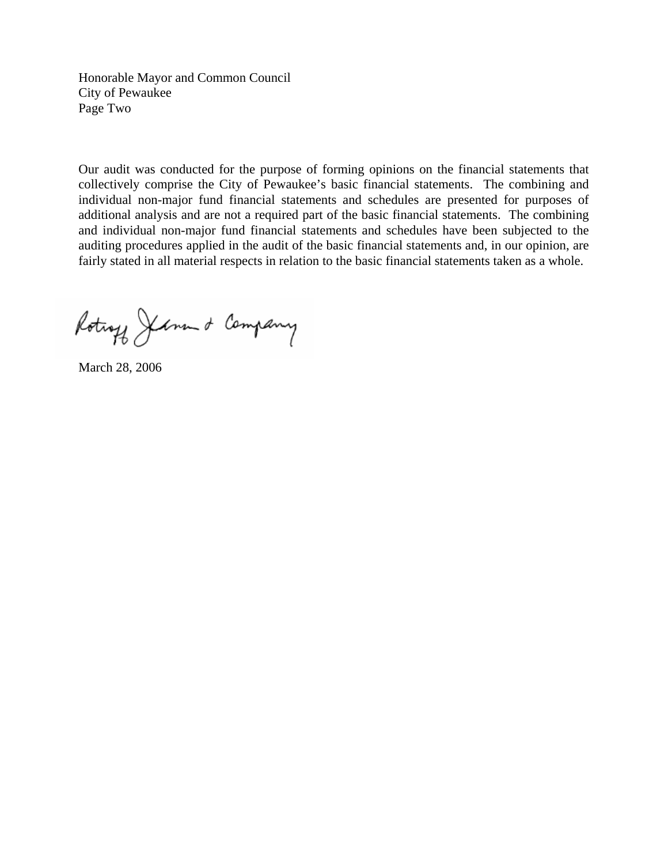Honorable Mayor and Common Council City of Pewaukee Page Two

Our audit was conducted for the purpose of forming opinions on the financial statements that collectively comprise the City of Pewaukee's basic financial statements. The combining and individual non-major fund financial statements and schedules are presented for purposes of additional analysis and are not a required part of the basic financial statements. The combining and individual non-major fund financial statements and schedules have been subjected to the auditing procedures applied in the audit of the basic financial statements and, in our opinion, are fairly stated in all material respects in relation to the basic financial statements taken as a whole.

Rotings Jerment Company

March 28, 2006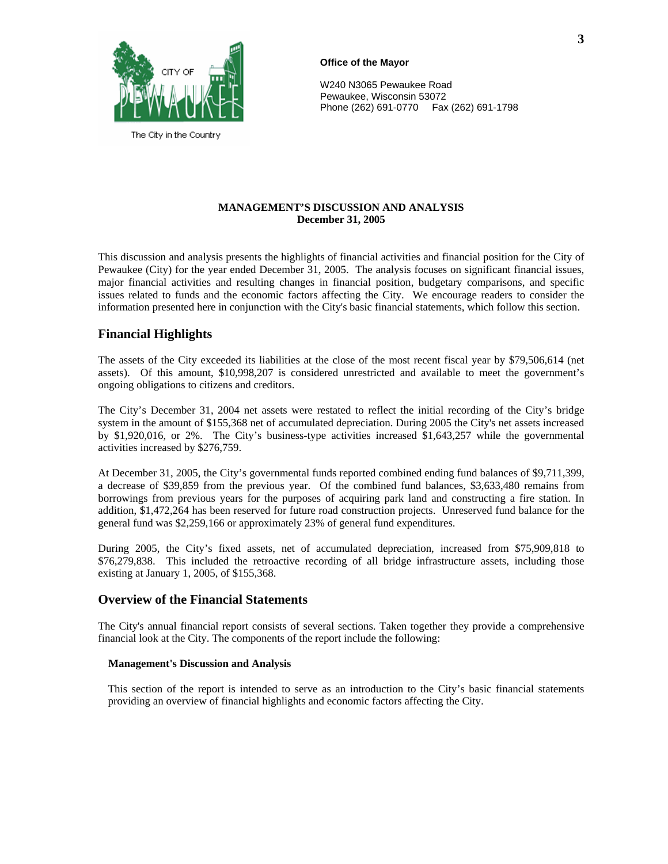

The City in the Country

#### **Office of the Mayor**

W240 N3065 Pewaukee Road Pewaukee, Wisconsin 53072 Phone (262) 691-0770 Fax (262) 691-1798

#### **MANAGEMENT'S DISCUSSION AND ANALYSIS December 31, 2005**

This discussion and analysis presents the highlights of financial activities and financial position for the City of Pewaukee (City) for the year ended December 31, 2005. The analysis focuses on significant financial issues, major financial activities and resulting changes in financial position, budgetary comparisons, and specific issues related to funds and the economic factors affecting the City. We encourage readers to consider the information presented here in conjunction with the City's basic financial statements, which follow this section.

### **Financial Highlights**

The assets of the City exceeded its liabilities at the close of the most recent fiscal year by \$79,506,614 (net assets). Of this amount, \$10,998,207 is considered unrestricted and available to meet the government's ongoing obligations to citizens and creditors.

The City's December 31, 2004 net assets were restated to reflect the initial recording of the City's bridge system in the amount of \$155,368 net of accumulated depreciation. During 2005 the City's net assets increased by \$1,920,016, or 2%. The City's business-type activities increased \$1,643,257 while the governmental activities increased by \$276,759.

At December 31, 2005, the City's governmental funds reported combined ending fund balances of \$9,711,399, a decrease of \$39,859 from the previous year. Of the combined fund balances, \$3,633,480 remains from borrowings from previous years for the purposes of acquiring park land and constructing a fire station. In addition, \$1,472,264 has been reserved for future road construction projects. Unreserved fund balance for the general fund was \$2,259,166 or approximately 23% of general fund expenditures.

During 2005, the City's fixed assets, net of accumulated depreciation, increased from \$75,909,818 to \$76,279,838. This included the retroactive recording of all bridge infrastructure assets, including those existing at January 1, 2005, of \$155,368.

### **Overview of the Financial Statements**

The City's annual financial report consists of several sections. Taken together they provide a comprehensive financial look at the City. The components of the report include the following:

#### **Management's Discussion and Analysis**

This section of the report is intended to serve as an introduction to the City's basic financial statements providing an overview of financial highlights and economic factors affecting the City.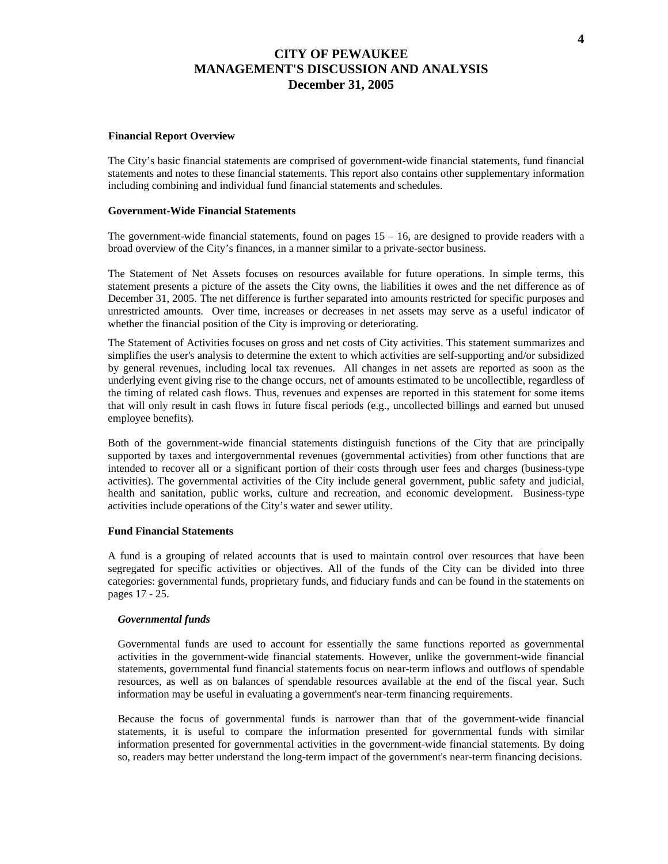#### **Financial Report Overview**

The City's basic financial statements are comprised of government-wide financial statements, fund financial statements and notes to these financial statements. This report also contains other supplementary information including combining and individual fund financial statements and schedules.

#### **Government-Wide Financial Statements**

The government-wide financial statements, found on pages  $15 - 16$ , are designed to provide readers with a broad overview of the City's finances, in a manner similar to a private-sector business.

The Statement of Net Assets focuses on resources available for future operations. In simple terms, this statement presents a picture of the assets the City owns, the liabilities it owes and the net difference as of December 31, 2005. The net difference is further separated into amounts restricted for specific purposes and unrestricted amounts. Over time, increases or decreases in net assets may serve as a useful indicator of whether the financial position of the City is improving or deteriorating.

The Statement of Activities focuses on gross and net costs of City activities. This statement summarizes and simplifies the user's analysis to determine the extent to which activities are self-supporting and/or subsidized by general revenues, including local tax revenues. All changes in net assets are reported as soon as the underlying event giving rise to the change occurs, net of amounts estimated to be uncollectible, regardless of the timing of related cash flows. Thus, revenues and expenses are reported in this statement for some items that will only result in cash flows in future fiscal periods (e.g., uncollected billings and earned but unused employee benefits).

Both of the government-wide financial statements distinguish functions of the City that are principally supported by taxes and intergovernmental revenues (governmental activities) from other functions that are intended to recover all or a significant portion of their costs through user fees and charges (business-type activities). The governmental activities of the City include general government, public safety and judicial, health and sanitation, public works, culture and recreation, and economic development. Business-type activities include operations of the City's water and sewer utility.

#### **Fund Financial Statements**

A fund is a grouping of related accounts that is used to maintain control over resources that have been segregated for specific activities or objectives. All of the funds of the City can be divided into three categories: governmental funds, proprietary funds, and fiduciary funds and can be found in the statements on pages 17 - 25.

#### *Governmental funds*

Governmental funds are used to account for essentially the same functions reported as governmental activities in the government-wide financial statements. However, unlike the government-wide financial statements, governmental fund financial statements focus on near-term inflows and outflows of spendable resources, as well as on balances of spendable resources available at the end of the fiscal year. Such information may be useful in evaluating a government's near-term financing requirements.

Because the focus of governmental funds is narrower than that of the government-wide financial statements, it is useful to compare the information presented for governmental funds with similar information presented for governmental activities in the government-wide financial statements. By doing so, readers may better understand the long-term impact of the government's near-term financing decisions.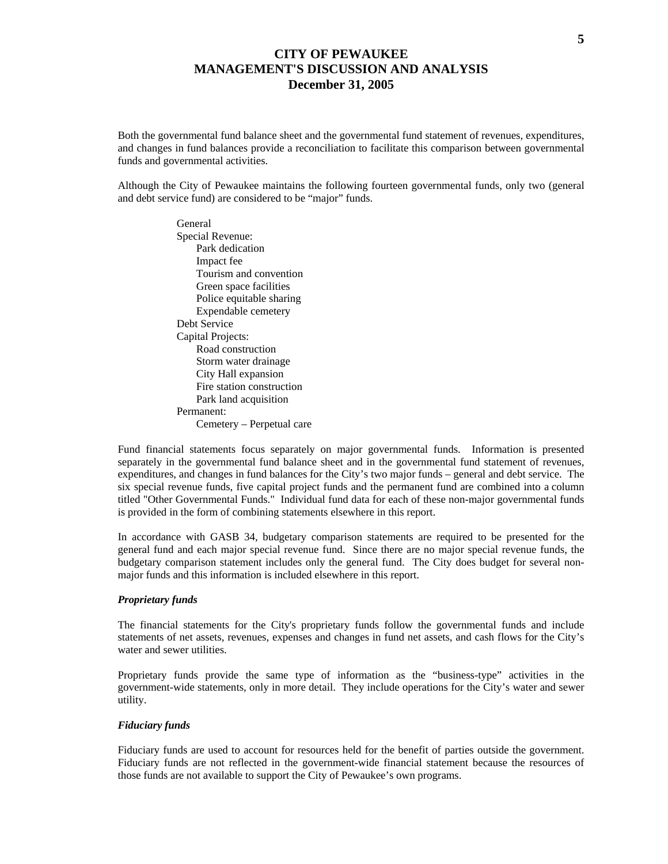Both the governmental fund balance sheet and the governmental fund statement of revenues, expenditures, and changes in fund balances provide a reconciliation to facilitate this comparison between governmental funds and governmental activities.

Although the City of Pewaukee maintains the following fourteen governmental funds, only two (general and debt service fund) are considered to be "major" funds.

> General Special Revenue: Park dedication Impact fee Tourism and convention Green space facilities Police equitable sharing Expendable cemetery Debt Service Capital Projects: Road construction Storm water drainage City Hall expansion Fire station construction Park land acquisition Permanent: Cemetery – Perpetual care

Fund financial statements focus separately on major governmental funds. Information is presented separately in the governmental fund balance sheet and in the governmental fund statement of revenues, expenditures, and changes in fund balances for the City's two major funds – general and debt service. The six special revenue funds, five capital project funds and the permanent fund are combined into a column titled "Other Governmental Funds." Individual fund data for each of these non-major governmental funds is provided in the form of combining statements elsewhere in this report.

In accordance with GASB 34, budgetary comparison statements are required to be presented for the general fund and each major special revenue fund. Since there are no major special revenue funds, the budgetary comparison statement includes only the general fund. The City does budget for several nonmajor funds and this information is included elsewhere in this report.

#### *Proprietary funds*

The financial statements for the City's proprietary funds follow the governmental funds and include statements of net assets, revenues, expenses and changes in fund net assets, and cash flows for the City's water and sewer utilities.

Proprietary funds provide the same type of information as the "business-type" activities in the government-wide statements, only in more detail. They include operations for the City's water and sewer utility.

#### *Fiduciary funds*

Fiduciary funds are used to account for resources held for the benefit of parties outside the government. Fiduciary funds are not reflected in the government-wide financial statement because the resources of those funds are not available to support the City of Pewaukee's own programs.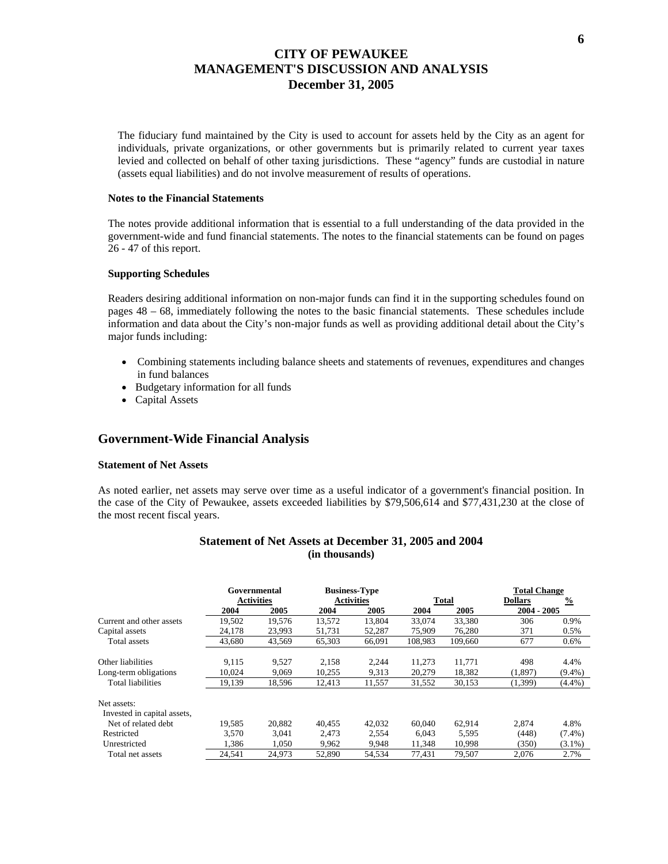The fiduciary fund maintained by the City is used to account for assets held by the City as an agent for individuals, private organizations, or other governments but is primarily related to current year taxes levied and collected on behalf of other taxing jurisdictions. These "agency" funds are custodial in nature (assets equal liabilities) and do not involve measurement of results of operations.

#### **Notes to the Financial Statements**

The notes provide additional information that is essential to a full understanding of the data provided in the government-wide and fund financial statements. The notes to the financial statements can be found on pages 26 - 47 of this report.

#### **Supporting Schedules**

Readers desiring additional information on non-major funds can find it in the supporting schedules found on pages 48 – 68, immediately following the notes to the basic financial statements. These schedules include information and data about the City's non-major funds as well as providing additional detail about the City's major funds including:

- Combining statements including balance sheets and statements of revenues, expenditures and changes in fund balances
- Budgetary information for all funds
- Capital Assets

### **Government-Wide Financial Analysis**

#### **Statement of Net Assets**

As noted earlier, net assets may serve over time as a useful indicator of a government's financial position. In the case of the City of Pewaukee, assets exceeded liabilities by \$79,506,614 and \$77,431,230 at the close of the most recent fiscal years.

|                                            | Governmental |                   |        | <b>Business-Type</b> |         |              | <b>Total Change</b> |               |
|--------------------------------------------|--------------|-------------------|--------|----------------------|---------|--------------|---------------------|---------------|
|                                            |              | <b>Activities</b> |        | <b>Activities</b>    |         | <b>Total</b> | <b>Dollars</b>      | $\frac{0}{2}$ |
|                                            | 2004         | 2005              | 2004   | 2005                 | 2004    | 2005         | 2004 - 2005         |               |
| Current and other assets                   | 19.502       | 19.576            | 13,572 | 13,804               | 33,074  | 33.380       | 306                 | 0.9%          |
| Capital assets                             | 24,178       | 23,993            | 51,731 | 52,287               | 75,909  | 76.280       | 371                 | 0.5%          |
| Total assets                               | 43,680       | 43,569            | 65,303 | 66,091               | 108,983 | 109,660      | 677                 | $0.6\%$       |
| Other liabilities                          | 9,115        | 9,527             | 2,158  | 2,244                | 11,273  | 11,771       | 498                 | 4.4%          |
| Long-term obligations                      | 10,024       | 9,069             | 10,255 | 9,313                | 20,279  | 18,382       | (1,897)             | $(9.4\%)$     |
| Total liabilities                          | 19,139       | 18,596            | 12,413 | 11,557               | 31,552  | 30,153       | (1,399)             | $(4.4\%)$     |
| Net assets:<br>Invested in capital assets, |              |                   |        |                      |         |              |                     |               |
| Net of related debt.                       | 19.585       | 20.882            | 40.455 | 42,032               | 60,040  | 62.914       | 2.874               | 4.8%          |
| Restricted                                 | 3,570        | 3,041             | 2,473  | 2,554                | 6,043   | 5,595        | (448)               | $(7.4\%)$     |
| Unrestricted                               | 1,386        | 1,050             | 9,962  | 9,948                | 11,348  | 10,998       | (350)               | $(3.1\%)$     |
| Total net assets                           | 24.541       | 24.973            | 52,890 | 54.534               | 77.431  | 79.507       | 2.076               | 2.7%          |

#### **Statement of Net Assets at December 31, 2005 and 2004 (in thousands)**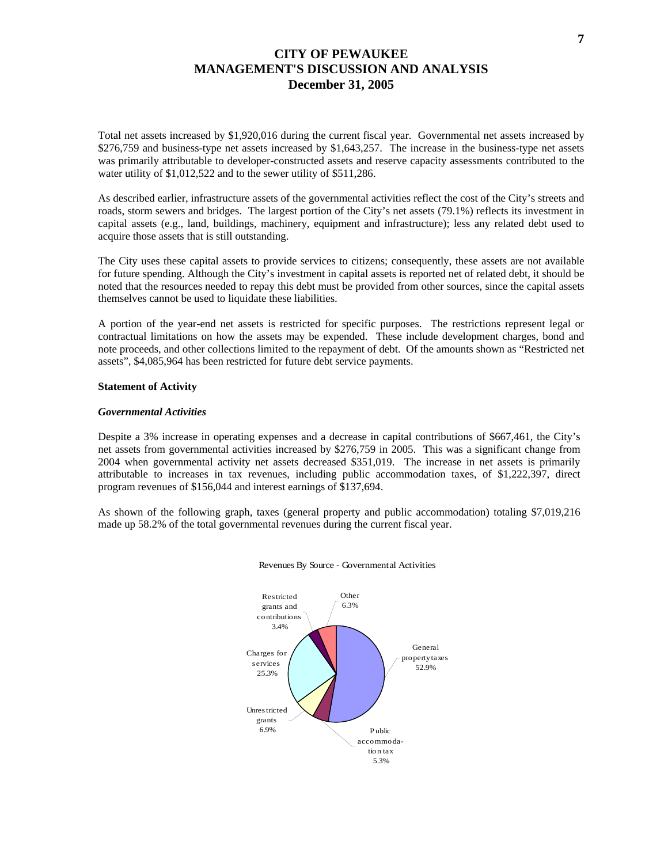Total net assets increased by \$1,920,016 during the current fiscal year. Governmental net assets increased by \$276,759 and business-type net assets increased by \$1,643,257. The increase in the business-type net assets was primarily attributable to developer-constructed assets and reserve capacity assessments contributed to the water utility of \$1,012,522 and to the sewer utility of \$511,286.

As described earlier, infrastructure assets of the governmental activities reflect the cost of the City's streets and roads, storm sewers and bridges. The largest portion of the City's net assets (79.1%) reflects its investment in capital assets (e.g., land, buildings, machinery, equipment and infrastructure); less any related debt used to acquire those assets that is still outstanding.

The City uses these capital assets to provide services to citizens; consequently, these assets are not available for future spending. Although the City's investment in capital assets is reported net of related debt, it should be noted that the resources needed to repay this debt must be provided from other sources, since the capital assets themselves cannot be used to liquidate these liabilities.

A portion of the year-end net assets is restricted for specific purposes. The restrictions represent legal or contractual limitations on how the assets may be expended. These include development charges, bond and note proceeds, and other collections limited to the repayment of debt. Of the amounts shown as "Restricted net assets", \$4,085,964 has been restricted for future debt service payments.

#### **Statement of Activity**

#### *Governmental Activities*

Despite a 3% increase in operating expenses and a decrease in capital contributions of \$667,461, the City's net assets from governmental activities increased by \$276,759 in 2005. This was a significant change from 2004 when governmental activity net assets decreased \$351,019. The increase in net assets is primarily attributable to increases in tax revenues, including public accommodation taxes, of \$1,222,397, direct program revenues of \$156,044 and interest earnings of \$137,694.

As shown of the following graph, taxes (general property and public accommodation) totaling \$7,019,216 made up 58.2% of the total governmental revenues during the current fiscal year.



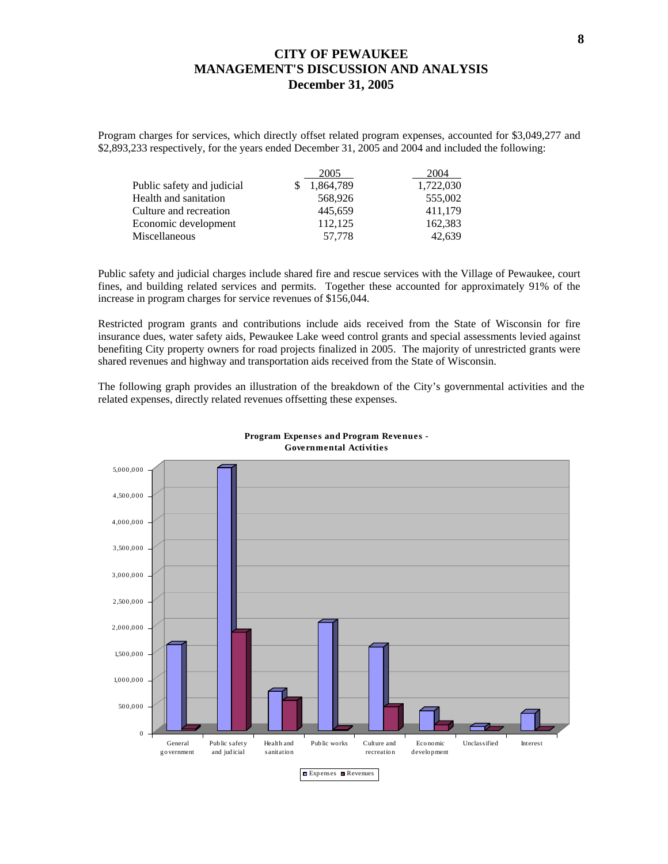Program charges for services, which directly offset related program expenses, accounted for \$3,049,277 and \$2,893,233 respectively, for the years ended December 31, 2005 and 2004 and included the following:

|                            | 2005      | 2004      |
|----------------------------|-----------|-----------|
| Public safety and judicial | 1,864,789 | 1,722,030 |
| Health and sanitation      | 568,926   | 555,002   |
| Culture and recreation     | 445.659   | 411.179   |
| Economic development       | 112.125   | 162,383   |
| Miscellaneous              | 57,778    | 42,639    |

Public safety and judicial charges include shared fire and rescue services with the Village of Pewaukee, court fines, and building related services and permits. Together these accounted for approximately 91% of the increase in program charges for service revenues of \$156,044.

Restricted program grants and contributions include aids received from the State of Wisconsin for fire insurance dues, water safety aids, Pewaukee Lake weed control grants and special assessments levied against benefiting City property owners for road projects finalized in 2005. The majority of unrestricted grants were shared revenues and highway and transportation aids received from the State of Wisconsin.

The following graph provides an illustration of the breakdown of the City's governmental activities and the related expenses, directly related revenues offsetting these expenses.



#### **Program Expenses and Program Revenues - Governmental Activities**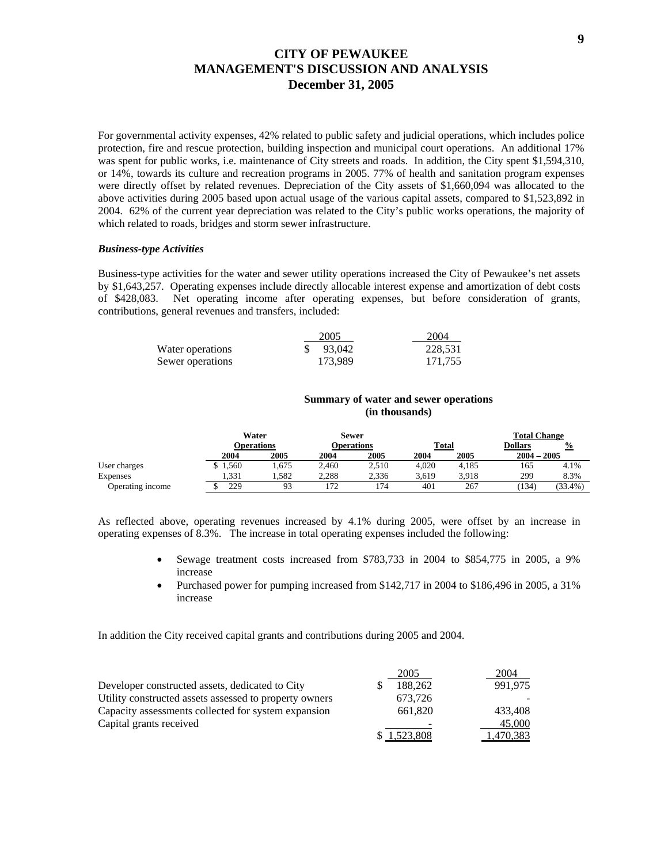For governmental activity expenses, 42% related to public safety and judicial operations, which includes police protection, fire and rescue protection, building inspection and municipal court operations. An additional 17% was spent for public works, i.e. maintenance of City streets and roads. In addition, the City spent \$1,594,310, or 14%, towards its culture and recreation programs in 2005. 77% of health and sanitation program expenses were directly offset by related revenues. Depreciation of the City assets of \$1,660,094 was allocated to the above activities during 2005 based upon actual usage of the various capital assets, compared to \$1,523,892 in 2004. 62% of the current year depreciation was related to the City's public works operations, the majority of which related to roads, bridges and storm sewer infrastructure.

#### *Business-type Activities*

Business-type activities for the water and sewer utility operations increased the City of Pewaukee's net assets by \$1,643,257. Operating expenses include directly allocable interest expense and amortization of debt costs of \$428,083. Net operating income after operating expenses, but before consideration of grants, contributions, general revenues and transfers, included:

|                  | 2005    | 2004    |
|------------------|---------|---------|
| Water operations | 93.042  | 228.531 |
| Sewer operations | 173.989 | 171.755 |

#### **Summary of water and sewer operations (in thousands)**

|                  |         | Water             | Sewer |            |              |       | <b>Total Change</b> |            |
|------------------|---------|-------------------|-------|------------|--------------|-------|---------------------|------------|
|                  |         | <b>Operations</b> |       | Operations | <b>Total</b> |       | <b>Dollars</b>      | $\%$       |
|                  | 2004    | 2005              | 2004  | 2005       | 2004         | 2005  | $2004 - 2005$       |            |
| User charges     | \$1,560 | .675              | 2,460 | 2,510      | 4.020        | 4.185 | 165                 | 4.1%       |
| Expenses         | 1.331   | 1.582             | 2,288 | 2.336      | 3,619        | 3,918 | 299                 | 8.3%       |
| Operating income | 229     | 93                |       | 74         | 401          | 267   | 134                 | $(33.4\%)$ |

As reflected above, operating revenues increased by 4.1% during 2005, were offset by an increase in operating expenses of 8.3%. The increase in total operating expenses included the following:

- Sewage treatment costs increased from \$783,733 in 2004 to \$854,775 in 2005, a 9% increase
- Purchased power for pumping increased from \$142,717 in 2004 to \$186,496 in 2005, a 31% increase

In addition the City received capital grants and contributions during 2005 and 2004.

|                                                        | 2005      | 2004      |
|--------------------------------------------------------|-----------|-----------|
| Developer constructed assets, dedicated to City        | 188.262   | 991.975   |
| Utility constructed assets assessed to property owners | 673,726   |           |
| Capacity assessments collected for system expansion    | 661.820   | 433.408   |
| Capital grants received                                |           | 45,000    |
|                                                        | 1.523.808 | 1,470,383 |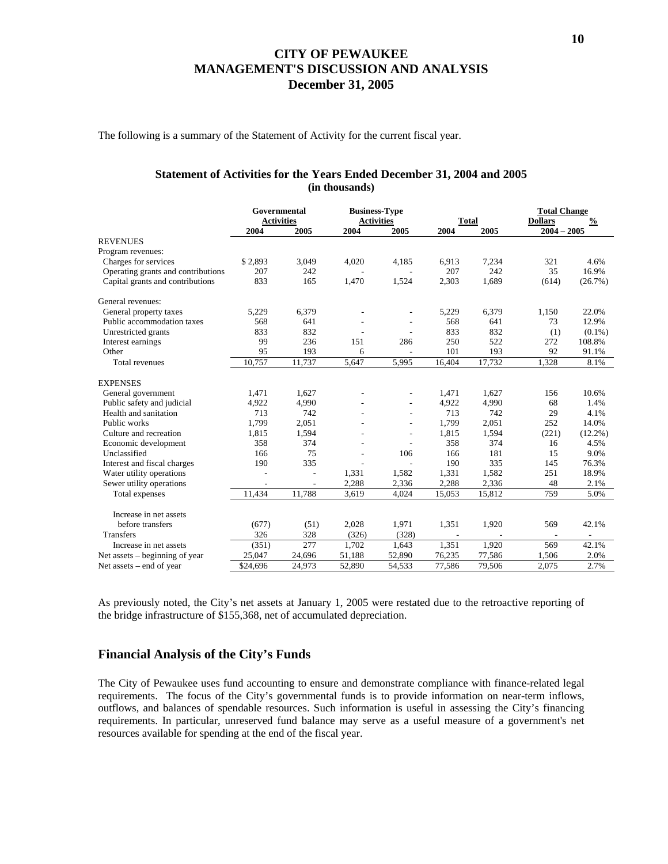The following is a summary of the Statement of Activity for the current fiscal year.

### **Statement of Activities for the Years Ended December 31, 2004 and 2005 (in thousands)**

|                                    | Governmental<br><b>Activities</b> |        | <b>Business-Type</b><br><b>Activities</b> |                          | <b>Total</b>             |        | <b>Total Change</b><br>$\frac{0}{0}$<br><b>Dollars</b> |                          |
|------------------------------------|-----------------------------------|--------|-------------------------------------------|--------------------------|--------------------------|--------|--------------------------------------------------------|--------------------------|
|                                    | 2004                              | 2005   | 2004                                      | 2005                     | 2004                     | 2005   | $2004 - 2005$                                          |                          |
| <b>REVENUES</b>                    |                                   |        |                                           |                          |                          |        |                                                        |                          |
| Program revenues:                  |                                   |        |                                           |                          |                          |        |                                                        |                          |
| Charges for services               | \$2,893                           | 3,049  | 4,020                                     | 4,185                    | 6,913                    | 7,234  | 321                                                    | 4.6%                     |
| Operating grants and contributions | 207                               | 242    |                                           |                          | 207                      | 242    | 35                                                     | 16.9%                    |
| Capital grants and contributions   | 833                               | 165    | 1,470                                     | 1,524                    | 2,303                    | 1,689  | (614)                                                  | (26.7%)                  |
| General revenues:                  |                                   |        |                                           |                          |                          |        |                                                        |                          |
| General property taxes             | 5,229                             | 6,379  |                                           | $\overline{\phantom{a}}$ | 5,229                    | 6,379  | 1,150                                                  | 22.0%                    |
| Public accommodation taxes         | 568                               | 641    |                                           |                          | 568                      | 641    | 73                                                     | 12.9%                    |
| Unrestricted grants                | 833                               | 832    |                                           | ٠                        | 833                      | 832    | (1)                                                    | $(0.1\%)$                |
| Interest earnings                  | 99                                | 236    | 151                                       | 286                      | 250                      | 522    | 272                                                    | 108.8%                   |
| Other                              | 95                                | 193    | 6                                         | $\overline{a}$           | 101                      | 193    | 92                                                     | 91.1%                    |
| <b>Total revenues</b>              | 10.757                            | 11,737 | 5,647                                     | 5,995                    | 16,404                   | 17,732 | 1,328                                                  | 8.1%                     |
| <b>EXPENSES</b>                    |                                   |        |                                           |                          |                          |        |                                                        |                          |
| General government                 | 1,471                             | 1.627  |                                           |                          | 1,471                    | 1,627  | 156                                                    | 10.6%                    |
| Public safety and judicial         | 4,922                             | 4,990  |                                           | ÷                        | 4,922                    | 4,990  | 68                                                     | 1.4%                     |
| Health and sanitation              | 713                               | 742    |                                           | $\overline{\phantom{a}}$ | 713                      | 742    | 29                                                     | 4.1%                     |
| Public works                       | 1,799                             | 2,051  |                                           | $\overline{\phantom{a}}$ | 1,799                    | 2,051  | 252                                                    | 14.0%                    |
| Culture and recreation             | 1,815                             | 1,594  |                                           | $\overline{a}$           | 1,815                    | 1,594  | (221)                                                  | $(12.2\%)$               |
| Economic development               | 358                               | 374    |                                           | $\overline{a}$           | 358                      | 374    | 16                                                     | 4.5%                     |
| Unclassified                       | 166                               | 75     |                                           | 106                      | 166                      | 181    | 15                                                     | 9.0%                     |
| Interest and fiscal charges        | 190                               | 335    |                                           |                          | 190                      | 335    | 145                                                    | 76.3%                    |
| Water utility operations           |                                   | $\sim$ | 1,331                                     | 1,582                    | 1,331                    | 1,582  | 251                                                    | 18.9%                    |
| Sewer utility operations           | $\overline{\phantom{a}}$          |        | 2,288                                     | 2,336                    | 2,288                    | 2,336  | 48                                                     | 2.1%                     |
| Total expenses                     | 11,434                            | 11,788 | 3,619                                     | 4,024                    | 15,053                   | 15,812 | 759                                                    | 5.0%                     |
| Increase in net assets             |                                   |        |                                           |                          |                          |        |                                                        |                          |
| before transfers                   | (677)                             | (51)   | 2,028                                     | 1,971                    | 1,351                    | 1,920  | 569                                                    | 42.1%                    |
| <b>Transfers</b>                   | 326                               | 328    | (326)                                     | (328)                    | $\overline{\phantom{a}}$ |        |                                                        | $\overline{\phantom{a}}$ |
| Increase in net assets             | (351)                             | 277    | 1,702                                     | 1,643                    | 1,351                    | 1,920  | 569                                                    | 42.1%                    |
| Net assets – beginning of year     | 25,047                            | 24,696 | 51,188                                    | 52,890                   | 76,235                   | 77,586 | 1,506                                                  | 2.0%                     |
|                                    |                                   |        |                                           |                          |                          |        | 2,075                                                  | 2.7%                     |
| Net assets – end of year           | \$24,696                          | 24,973 | 52,890                                    | 54,533                   | 77,586                   | 79,506 |                                                        |                          |

As previously noted, the City's net assets at January 1, 2005 were restated due to the retroactive reporting of the bridge infrastructure of \$155,368, net of accumulated depreciation.

### **Financial Analysis of the City's Funds**

The City of Pewaukee uses fund accounting to ensure and demonstrate compliance with finance-related legal requirements. The focus of the City's governmental funds is to provide information on near-term inflows, outflows, and balances of spendable resources. Such information is useful in assessing the City's financing requirements. In particular, unreserved fund balance may serve as a useful measure of a government's net resources available for spending at the end of the fiscal year.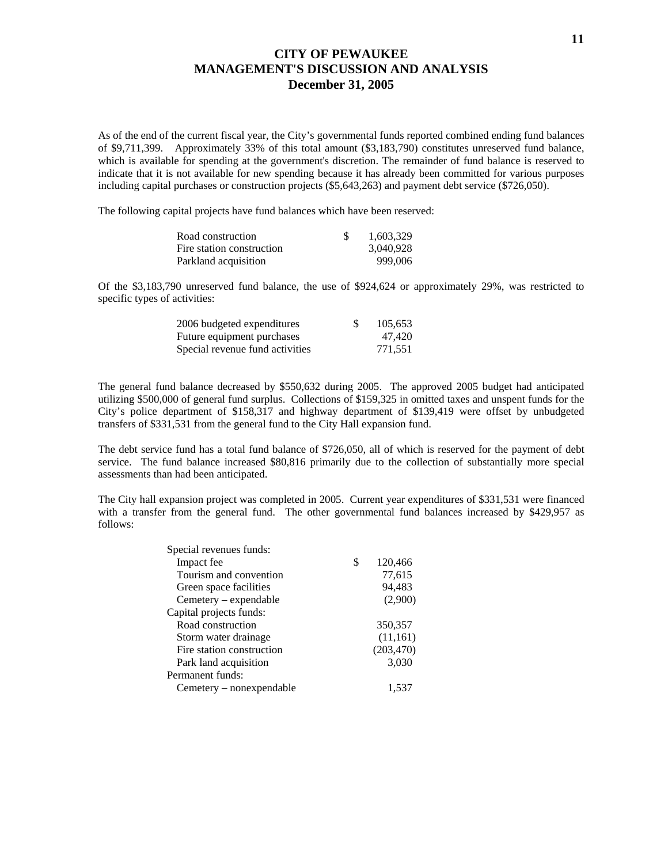As of the end of the current fiscal year, the City's governmental funds reported combined ending fund balances of \$9,711,399. Approximately 33% of this total amount (\$3,183,790) constitutes unreserved fund balance, which is available for spending at the government's discretion. The remainder of fund balance is reserved to indicate that it is not available for new spending because it has already been committed for various purposes including capital purchases or construction projects (\$5,643,263) and payment debt service (\$726,050).

The following capital projects have fund balances which have been reserved:

| Road construction         | -S | 1.603.329 |
|---------------------------|----|-----------|
| Fire station construction |    | 3.040.928 |
| Parkland acquisition      |    | 999,006   |

Of the \$3,183,790 unreserved fund balance, the use of \$924,624 or approximately 29%, was restricted to specific types of activities:

| 2006 budgeted expenditures      | 105.653 |
|---------------------------------|---------|
| Future equipment purchases      | 47.420  |
| Special revenue fund activities | 771.551 |

The general fund balance decreased by \$550,632 during 2005. The approved 2005 budget had anticipated utilizing \$500,000 of general fund surplus. Collections of \$159,325 in omitted taxes and unspent funds for the City's police department of \$158,317 and highway department of \$139,419 were offset by unbudgeted transfers of \$331,531 from the general fund to the City Hall expansion fund.

The debt service fund has a total fund balance of \$726,050, all of which is reserved for the payment of debt service. The fund balance increased \$80,816 primarily due to the collection of substantially more special assessments than had been anticipated.

The City hall expansion project was completed in 2005. Current year expenditures of \$331,531 were financed with a transfer from the general fund. The other governmental fund balances increased by \$429,957 as follows:

| Special revenues funds:   |            |
|---------------------------|------------|
| \$<br>Impact fee          | 120,466    |
| Tourism and convention    | 77,615     |
| Green space facilities    | 94,483     |
| $Cemetery - expendable$   | (2,900)    |
| Capital projects funds:   |            |
| Road construction         | 350,357    |
| Storm water drainage      | (11,161)   |
| Fire station construction | (203, 470) |
| Park land acquisition     | 3,030      |
| Permanent funds:          |            |
| Cemetery – nonexpendable  | 1,537      |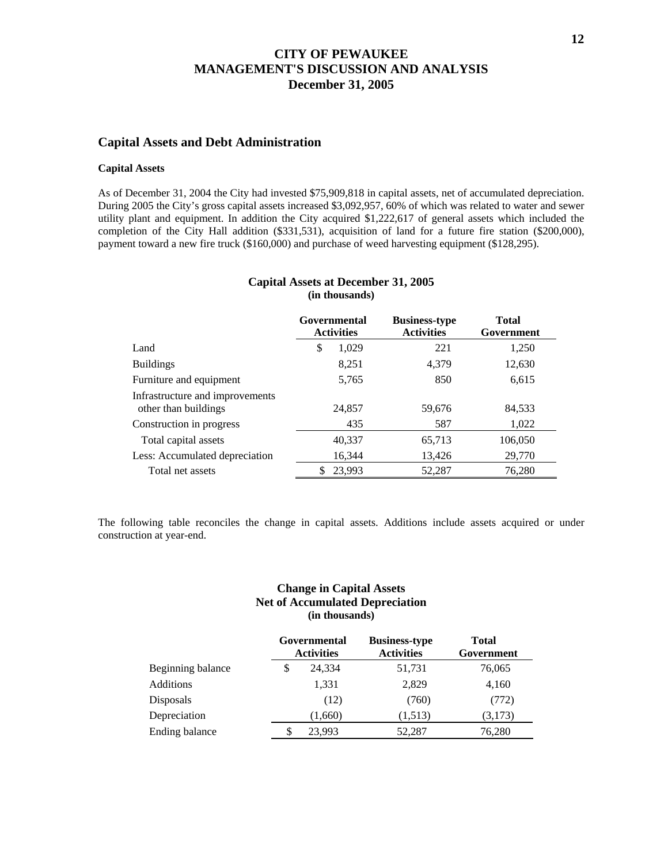### **Capital Assets and Debt Administration**

#### **Capital Assets**

As of December 31, 2004 the City had invested \$75,909,818 in capital assets, net of accumulated depreciation. During 2005 the City's gross capital assets increased \$3,092,957, 60% of which was related to water and sewer utility plant and equipment. In addition the City acquired \$1,222,617 of general assets which included the completion of the City Hall addition (\$331,531), acquisition of land for a future fire station (\$200,000), payment toward a new fire truck (\$160,000) and purchase of weed harvesting equipment (\$128,295).

|                                                         | Governmental<br><b>Activities</b> | <b>Business-type</b><br><b>Activities</b> | <b>Total</b><br>Government |  |
|---------------------------------------------------------|-----------------------------------|-------------------------------------------|----------------------------|--|
| Land                                                    | 1,029<br>S                        | 221                                       | 1,250                      |  |
| <b>Buildings</b>                                        | 8,251                             | 4,379                                     | 12,630                     |  |
| Furniture and equipment                                 | 5,765                             | 850                                       | 6,615                      |  |
| Infrastructure and improvements<br>other than buildings | 24,857                            | 59,676                                    | 84,533                     |  |
| Construction in progress                                | 435                               | 587                                       | 1,022                      |  |
| Total capital assets                                    | 40,337                            | 65,713                                    | 106,050                    |  |
| Less: Accumulated depreciation                          | 16,344                            | 13,426                                    | 29,770                     |  |
| Total net assets                                        | 23,993<br>S                       | 52,287                                    | 76,280                     |  |

### **Capital Assets at December 31, 2005 (in thousands)**

The following table reconciles the change in capital assets. Additions include assets acquired or under construction at year-end.

### **Change in Capital Assets Net of Accumulated Depreciation (in thousands)**

|                   |   | Governmental<br><b>Activities</b> | <b>Business-type</b><br><b>Activities</b> | <b>Total</b><br>Government |  |
|-------------------|---|-----------------------------------|-------------------------------------------|----------------------------|--|
| Beginning balance | S | 24,334                            | 51,731                                    | 76,065                     |  |
| Additions         |   | 1,331                             | 2,829                                     | 4,160                      |  |
| Disposals         |   | (12)                              | (760)                                     | (772)                      |  |
| Depreciation      |   | (1,660)                           | (1,513)                                   | (3,173)                    |  |
| Ending balance    |   | 23,993                            | 52.287                                    | 76,280                     |  |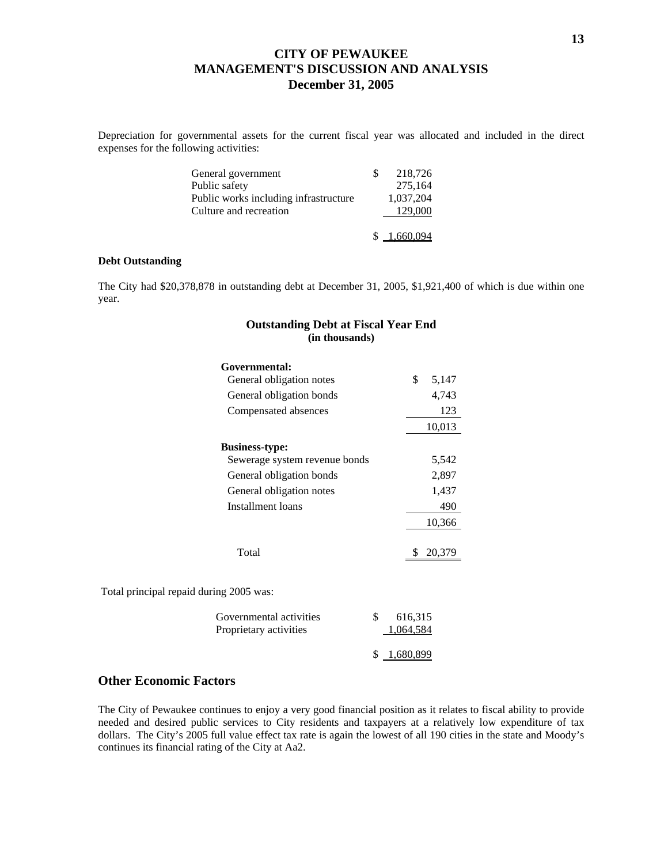Depreciation for governmental assets for the current fiscal year was allocated and included in the direct expenses for the following activities:

| General government                    | 218,726     |
|---------------------------------------|-------------|
| Public safety                         | 275,164     |
| Public works including infrastructure | 1.037.204   |
| Culture and recreation                | 129,000     |
|                                       |             |
|                                       | \$1,660,094 |

#### **Debt Outstanding**

The City had \$20,378,878 in outstanding debt at December 31, 2005, \$1,921,400 of which is due within one year.

### **Outstanding Debt at Fiscal Year End (in thousands)**

| Governmental:                 |    |        |
|-------------------------------|----|--------|
| General obligation notes      | \$ | 5,147  |
| General obligation bonds      |    | 4,743  |
| Compensated absences          |    | 123    |
|                               |    | 10,013 |
| <b>Business-type:</b>         |    |        |
| Sewerage system revenue bonds |    | 5,542  |
| General obligation bonds      |    | 2,897  |
| General obligation notes      |    | 1,437  |
| Installment loans             |    | 490    |
|                               |    | 10,366 |
|                               |    |        |
| Total                         |    | 20,379 |

Total principal repaid during 2005 was:

| Governmental activities<br>Proprietary activities | 616.315<br>1.064.584 |
|---------------------------------------------------|----------------------|
|                                                   | \$ 1.680.899         |

### **Other Economic Factors**

The City of Pewaukee continues to enjoy a very good financial position as it relates to fiscal ability to provide needed and desired public services to City residents and taxpayers at a relatively low expenditure of tax dollars. The City's 2005 full value effect tax rate is again the lowest of all 190 cities in the state and Moody's continues its financial rating of the City at Aa2.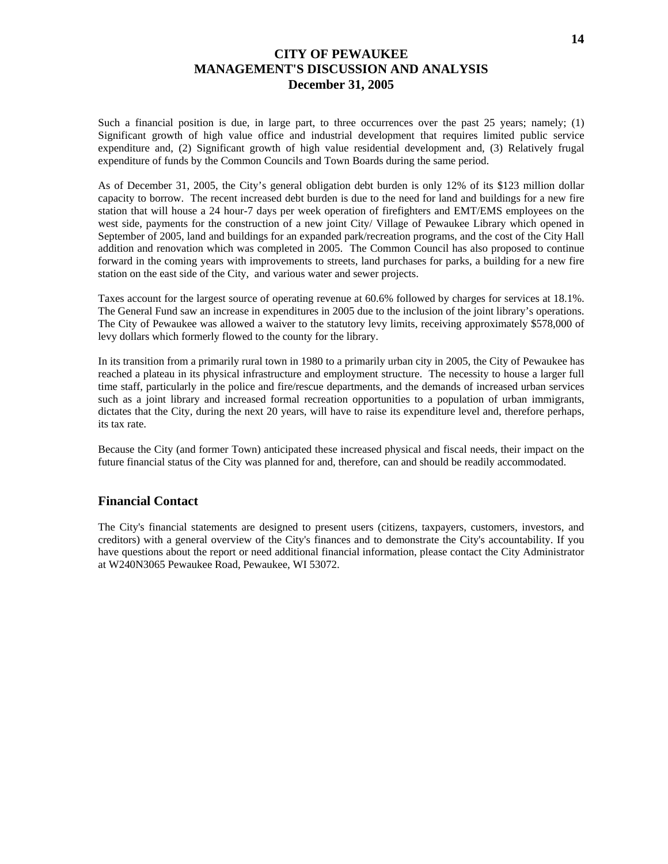Such a financial position is due, in large part, to three occurrences over the past 25 years; namely; (1) Significant growth of high value office and industrial development that requires limited public service expenditure and, (2) Significant growth of high value residential development and, (3) Relatively frugal expenditure of funds by the Common Councils and Town Boards during the same period.

As of December 31, 2005, the City's general obligation debt burden is only 12% of its \$123 million dollar capacity to borrow. The recent increased debt burden is due to the need for land and buildings for a new fire station that will house a 24 hour-7 days per week operation of firefighters and EMT/EMS employees on the west side, payments for the construction of a new joint City/ Village of Pewaukee Library which opened in September of 2005, land and buildings for an expanded park/recreation programs, and the cost of the City Hall addition and renovation which was completed in 2005. The Common Council has also proposed to continue forward in the coming years with improvements to streets, land purchases for parks, a building for a new fire station on the east side of the City, and various water and sewer projects.

Taxes account for the largest source of operating revenue at 60.6% followed by charges for services at 18.1%. The General Fund saw an increase in expenditures in 2005 due to the inclusion of the joint library's operations. The City of Pewaukee was allowed a waiver to the statutory levy limits, receiving approximately \$578,000 of levy dollars which formerly flowed to the county for the library.

In its transition from a primarily rural town in 1980 to a primarily urban city in 2005, the City of Pewaukee has reached a plateau in its physical infrastructure and employment structure. The necessity to house a larger full time staff, particularly in the police and fire/rescue departments, and the demands of increased urban services such as a joint library and increased formal recreation opportunities to a population of urban immigrants, dictates that the City, during the next 20 years, will have to raise its expenditure level and, therefore perhaps, its tax rate.

Because the City (and former Town) anticipated these increased physical and fiscal needs, their impact on the future financial status of the City was planned for and, therefore, can and should be readily accommodated.

### **Financial Contact**

The City's financial statements are designed to present users (citizens, taxpayers, customers, investors, and creditors) with a general overview of the City's finances and to demonstrate the City's accountability. If you have questions about the report or need additional financial information, please contact the City Administrator at W240N3065 Pewaukee Road, Pewaukee, WI 53072.